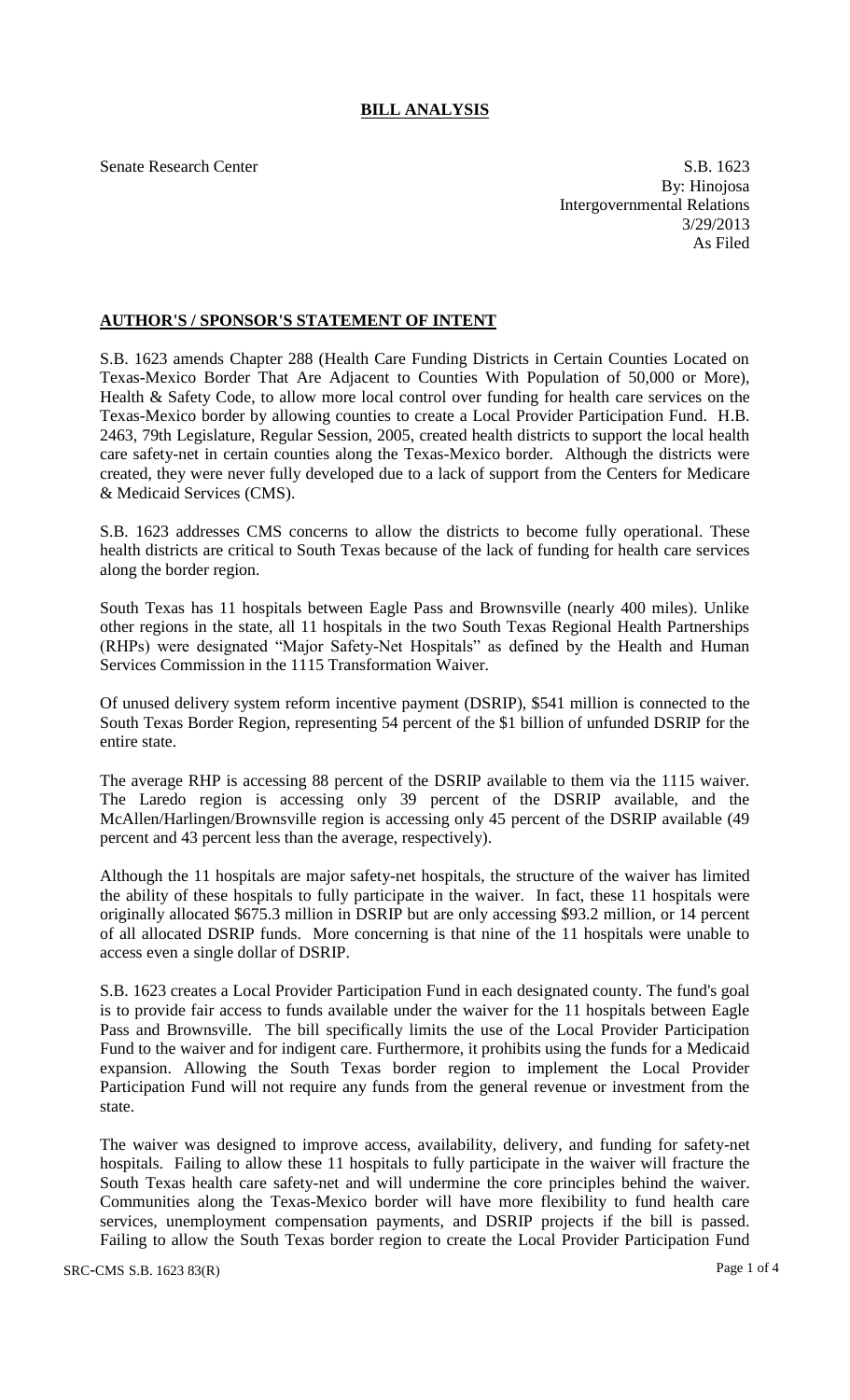# **BILL ANALYSIS**

Senate Research Center S.B. 1623 By: Hinojosa Intergovernmental Relations 3/29/2013 As Filed

## **AUTHOR'S / SPONSOR'S STATEMENT OF INTENT**

S.B. 1623 amends Chapter 288 (Health Care Funding Districts in Certain Counties Located on Texas-Mexico Border That Are Adjacent to Counties With Population of 50,000 or More), Health & Safety Code, to allow more local control over funding for health care services on the Texas-Mexico border by allowing counties to create a Local Provider Participation Fund. H.B. 2463, 79th Legislature, Regular Session, 2005, created health districts to support the local health care safety-net in certain counties along the Texas-Mexico border. Although the districts were created, they were never fully developed due to a lack of support from the Centers for Medicare & Medicaid Services (CMS).

S.B. 1623 addresses CMS concerns to allow the districts to become fully operational. These health districts are critical to South Texas because of the lack of funding for health care services along the border region.

South Texas has 11 hospitals between Eagle Pass and Brownsville (nearly 400 miles). Unlike other regions in the state, all 11 hospitals in the two South Texas Regional Health Partnerships (RHPs) were designated "Major Safety-Net Hospitals" as defined by the Health and Human Services Commission in the 1115 Transformation Waiver.

Of unused delivery system reform incentive payment (DSRIP), \$541 million is connected to the South Texas Border Region, representing 54 percent of the \$1 billion of unfunded DSRIP for the entire state.

The average RHP is accessing 88 percent of the DSRIP available to them via the 1115 waiver. The Laredo region is accessing only 39 percent of the DSRIP available, and the McAllen/Harlingen/Brownsville region is accessing only 45 percent of the DSRIP available (49 percent and 43 percent less than the average, respectively).

Although the 11 hospitals are major safety-net hospitals, the structure of the waiver has limited the ability of these hospitals to fully participate in the waiver. In fact, these 11 hospitals were originally allocated \$675.3 million in DSRIP but are only accessing \$93.2 million, or 14 percent of all allocated DSRIP funds. More concerning is that nine of the 11 hospitals were unable to access even a single dollar of DSRIP.

S.B. 1623 creates a Local Provider Participation Fund in each designated county. The fund's goal is to provide fair access to funds available under the waiver for the 11 hospitals between Eagle Pass and Brownsville. The bill specifically limits the use of the Local Provider Participation Fund to the waiver and for indigent care. Furthermore, it prohibits using the funds for a Medicaid expansion. Allowing the South Texas border region to implement the Local Provider Participation Fund will not require any funds from the general revenue or investment from the state.

The waiver was designed to improve access, availability, delivery, and funding for safety-net hospitals. Failing to allow these 11 hospitals to fully participate in the waiver will fracture the South Texas health care safety-net and will undermine the core principles behind the waiver. Communities along the Texas-Mexico border will have more flexibility to fund health care services, unemployment compensation payments, and DSRIP projects if the bill is passed. Failing to allow the South Texas border region to create the Local Provider Participation Fund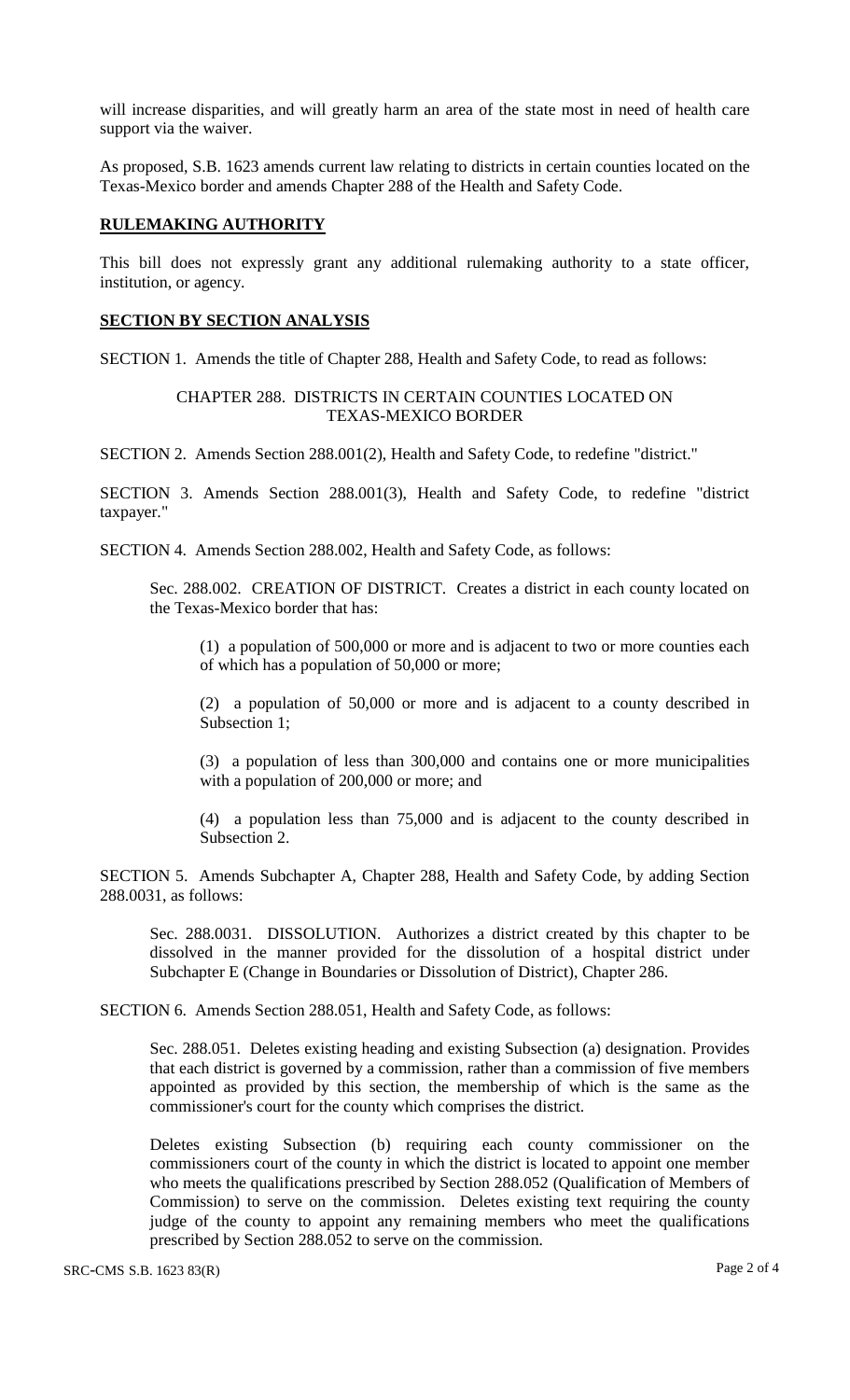will increase disparities, and will greatly harm an area of the state most in need of health care support via the waiver.

As proposed, S.B. 1623 amends current law relating to districts in certain counties located on the Texas-Mexico border and amends Chapter 288 of the Health and Safety Code.

#### **RULEMAKING AUTHORITY**

This bill does not expressly grant any additional rulemaking authority to a state officer, institution, or agency.

## **SECTION BY SECTION ANALYSIS**

SECTION 1. Amends the title of Chapter 288, Health and Safety Code, to read as follows:

## CHAPTER 288. DISTRICTS IN CERTAIN COUNTIES LOCATED ON TEXAS-MEXICO BORDER

SECTION 2. Amends Section 288.001(2), Health and Safety Code, to redefine "district."

SECTION 3. Amends Section 288.001(3), Health and Safety Code, to redefine "district taxpayer."

SECTION 4. Amends Section 288.002, Health and Safety Code, as follows:

Sec. 288.002. CREATION OF DISTRICT. Creates a district in each county located on the Texas-Mexico border that has:

(1) a population of 500,000 or more and is adjacent to two or more counties each of which has a population of 50,000 or more;

(2) a population of 50,000 or more and is adjacent to a county described in Subsection 1;

(3) a population of less than 300,000 and contains one or more municipalities with a population of 200,000 or more; and

(4) a population less than 75,000 and is adjacent to the county described in Subsection 2.

SECTION 5. Amends Subchapter A, Chapter 288, Health and Safety Code, by adding Section 288.0031, as follows:

Sec. 288.0031. DISSOLUTION. Authorizes a district created by this chapter to be dissolved in the manner provided for the dissolution of a hospital district under Subchapter E (Change in Boundaries or Dissolution of District), Chapter 286.

SECTION 6. Amends Section 288.051, Health and Safety Code, as follows:

Sec. 288.051. Deletes existing heading and existing Subsection (a) designation. Provides that each district is governed by a commission, rather than a commission of five members appointed as provided by this section, the membership of which is the same as the commissioner's court for the county which comprises the district.

Deletes existing Subsection (b) requiring each county commissioner on the commissioners court of the county in which the district is located to appoint one member who meets the qualifications prescribed by Section 288.052 (Qualification of Members of Commission) to serve on the commission. Deletes existing text requiring the county judge of the county to appoint any remaining members who meet the qualifications prescribed by Section 288.052 to serve on the commission.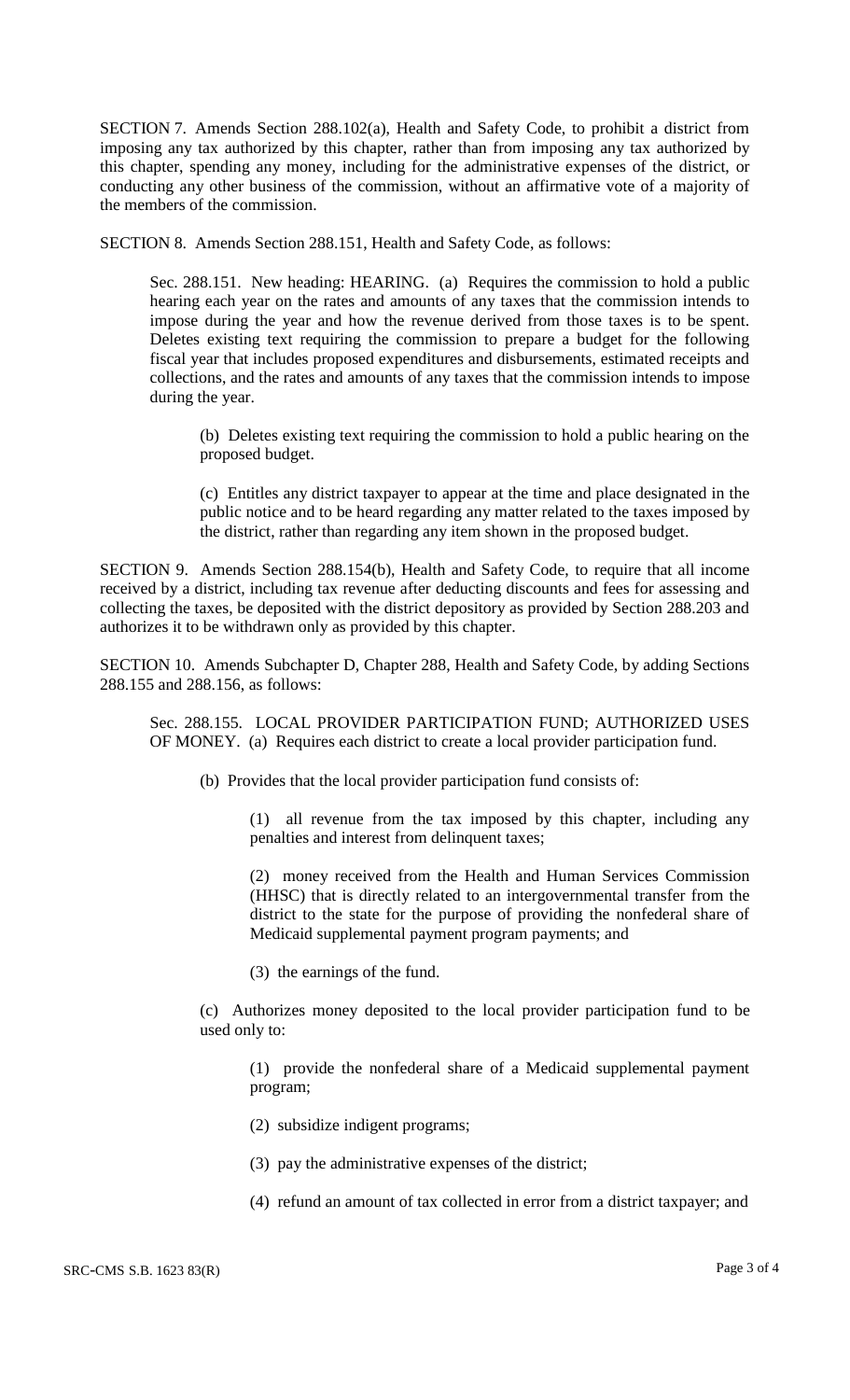SECTION 7. Amends Section 288.102(a), Health and Safety Code, to prohibit a district from imposing any tax authorized by this chapter, rather than from imposing any tax authorized by this chapter, spending any money, including for the administrative expenses of the district, or conducting any other business of the commission, without an affirmative vote of a majority of the members of the commission.

SECTION 8. Amends Section 288.151, Health and Safety Code, as follows:

Sec. 288.151. New heading: HEARING. (a) Requires the commission to hold a public hearing each year on the rates and amounts of any taxes that the commission intends to impose during the year and how the revenue derived from those taxes is to be spent. Deletes existing text requiring the commission to prepare a budget for the following fiscal year that includes proposed expenditures and disbursements, estimated receipts and collections, and the rates and amounts of any taxes that the commission intends to impose during the year.

(b) Deletes existing text requiring the commission to hold a public hearing on the proposed budget.

(c) Entitles any district taxpayer to appear at the time and place designated in the public notice and to be heard regarding any matter related to the taxes imposed by the district, rather than regarding any item shown in the proposed budget.

SECTION 9. Amends Section 288.154(b), Health and Safety Code, to require that all income received by a district, including tax revenue after deducting discounts and fees for assessing and collecting the taxes, be deposited with the district depository as provided by Section 288.203 and authorizes it to be withdrawn only as provided by this chapter.

SECTION 10. Amends Subchapter D, Chapter 288, Health and Safety Code, by adding Sections 288.155 and 288.156, as follows:

Sec. 288.155. LOCAL PROVIDER PARTICIPATION FUND; AUTHORIZED USES OF MONEY. (a) Requires each district to create a local provider participation fund.

(b) Provides that the local provider participation fund consists of:

(1) all revenue from the tax imposed by this chapter, including any penalties and interest from delinquent taxes;

(2) money received from the Health and Human Services Commission (HHSC) that is directly related to an intergovernmental transfer from the district to the state for the purpose of providing the nonfederal share of Medicaid supplemental payment program payments; and

(3) the earnings of the fund.

(c) Authorizes money deposited to the local provider participation fund to be used only to:

(1) provide the nonfederal share of a Medicaid supplemental payment program;

(2) subsidize indigent programs;

- (3) pay the administrative expenses of the district;
- (4) refund an amount of tax collected in error from a district taxpayer; and